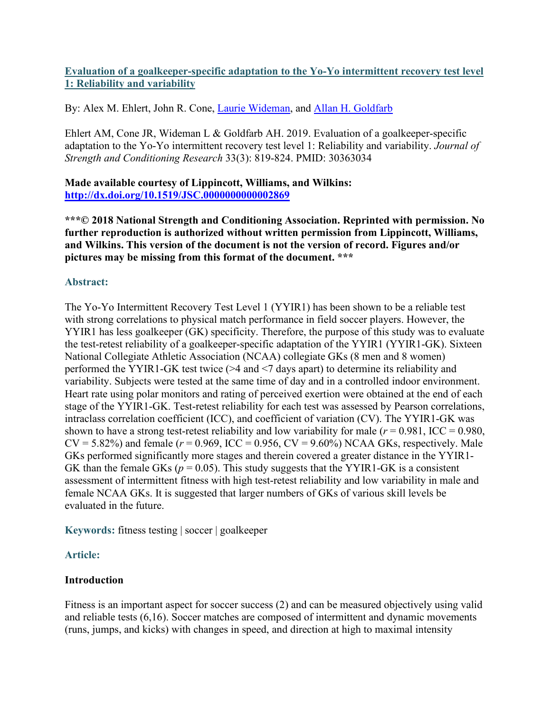# **Evaluation of a goalkeeper-specific adaptation to the Yo-Yo intermittent recovery test level 1: Reliability and variability**

By: Alex M. Ehlert, John R. Cone, [Laurie Wideman,](https://libres.uncg.edu/ir/uncg/clist.aspx?id=1444) and [Allan H. Goldfarb](http://libres.uncg.edu/ir/uncg/clist.aspx?id=1456)

Ehlert AM, Cone JR, Wideman L & Goldfarb AH. 2019. Evaluation of a goalkeeper-specific adaptation to the Yo-Yo intermittent recovery test level 1: Reliability and variability. *Journal of Strength and Conditioning Research* 33(3): 819-824. PMID: 30363034

**Made available courtesy of Lippincott, Williams, and Wilkins: <http://dx.doi.org/10.1519/JSC.0000000000002869>**

**\*\*\*© 2018 National Strength and Conditioning Association. Reprinted with permission. No further reproduction is authorized without written permission from Lippincott, Williams, and Wilkins. This version of the document is not the version of record. Figures and/or pictures may be missing from this format of the document. \*\*\***

### **Abstract:**

The Yo-Yo Intermittent Recovery Test Level 1 (YYIR1) has been shown to be a reliable test with strong correlations to physical match performance in field soccer players. However, the YYIR1 has less goalkeeper (GK) specificity. Therefore, the purpose of this study was to evaluate the test-retest reliability of a goalkeeper-specific adaptation of the YYIR1 (YYIR1-GK). Sixteen National Collegiate Athletic Association (NCAA) collegiate GKs (8 men and 8 women) performed the YYIR1-GK test twice (>4 and <7 days apart) to determine its reliability and variability. Subjects were tested at the same time of day and in a controlled indoor environment. Heart rate using polar monitors and rating of perceived exertion were obtained at the end of each stage of the YYIR1-GK. Test-retest reliability for each test was assessed by Pearson correlations, intraclass correlation coefficient (ICC), and coefficient of variation (CV). The YYIR1-GK was shown to have a strong test-retest reliability and low variability for male  $(r = 0.981, \text{ICC} = 0.980,$  $CV = 5.82\%$ ) and female ( $r = 0.969$ , ICC = 0.956, CV = 9.60%) NCAA GKs, respectively. Male GKs performed significantly more stages and therein covered a greater distance in the YYIR1- GK than the female GKs ( $p = 0.05$ ). This study suggests that the YYIR1-GK is a consistent assessment of intermittent fitness with high test-retest reliability and low variability in male and female NCAA GKs. It is suggested that larger numbers of GKs of various skill levels be evaluated in the future.

**Keywords:** fitness testing | soccer | goalkeeper

# **Article:**

# **Introduction**

Fitness is an important aspect for soccer success (2) and can be measured objectively using valid and reliable tests (6,16). Soccer matches are composed of intermittent and dynamic movements (runs, jumps, and kicks) with changes in speed, and direction at high to maximal intensity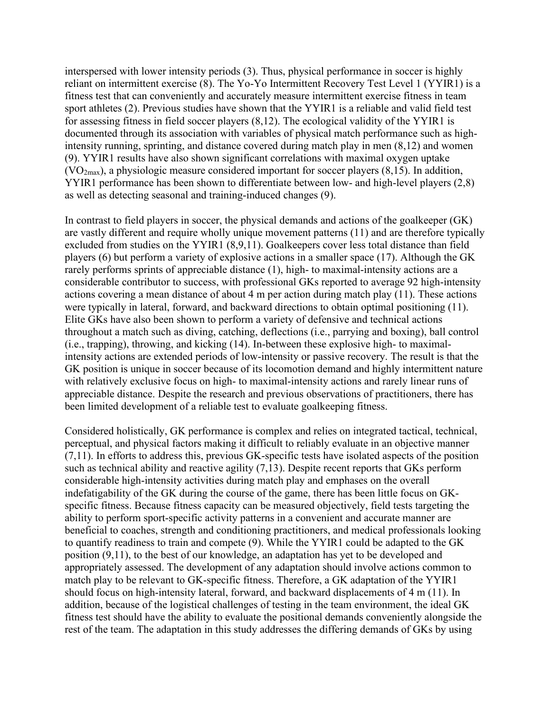interspersed with lower intensity periods (3). Thus, physical performance in soccer is highly reliant on intermittent exercise (8). The Yo-Yo Intermittent Recovery Test Level 1 (YYIR1) is a fitness test that can conveniently and accurately measure intermittent exercise fitness in team sport athletes (2). Previous studies have shown that the YYIR1 is a reliable and valid field test for assessing fitness in field soccer players (8,12). The ecological validity of the YYIR1 is documented through its association with variables of physical match performance such as highintensity running, sprinting, and distance covered during match play in men (8,12) and women (9). YYIR1 results have also shown significant correlations with maximal oxygen uptake  $(VO<sub>2max</sub>)$ , a physiologic measure considered important for soccer players (8,15). In addition, YYIR1 performance has been shown to differentiate between low- and high-level players (2,8) as well as detecting seasonal and training-induced changes (9).

In contrast to field players in soccer, the physical demands and actions of the goalkeeper (GK) are vastly different and require wholly unique movement patterns (11) and are therefore typically excluded from studies on the YYIR1 (8,9,11). Goalkeepers cover less total distance than field players (6) but perform a variety of explosive actions in a smaller space (17). Although the GK rarely performs sprints of appreciable distance (1), high- to maximal-intensity actions are a considerable contributor to success, with professional GKs reported to average 92 high-intensity actions covering a mean distance of about 4 m per action during match play (11). These actions were typically in lateral, forward, and backward directions to obtain optimal positioning (11). Elite GKs have also been shown to perform a variety of defensive and technical actions throughout a match such as diving, catching, deflections (i.e., parrying and boxing), ball control (i.e., trapping), throwing, and kicking (14). In-between these explosive high- to maximalintensity actions are extended periods of low-intensity or passive recovery. The result is that the GK position is unique in soccer because of its locomotion demand and highly intermittent nature with relatively exclusive focus on high- to maximal-intensity actions and rarely linear runs of appreciable distance. Despite the research and previous observations of practitioners, there has been limited development of a reliable test to evaluate goalkeeping fitness.

Considered holistically, GK performance is complex and relies on integrated tactical, technical, perceptual, and physical factors making it difficult to reliably evaluate in an objective manner  $(7,11)$ . In efforts to address this, previous GK-specific tests have isolated aspects of the position such as technical ability and reactive agility (7,13). Despite recent reports that GKs perform considerable high-intensity activities during match play and emphases on the overall indefatigability of the GK during the course of the game, there has been little focus on GKspecific fitness. Because fitness capacity can be measured objectively, field tests targeting the ability to perform sport-specific activity patterns in a convenient and accurate manner are beneficial to coaches, strength and conditioning practitioners, and medical professionals looking to quantify readiness to train and compete (9). While the YYIR1 could be adapted to the GK position (9,11), to the best of our knowledge, an adaptation has yet to be developed and appropriately assessed. The development of any adaptation should involve actions common to match play to be relevant to GK-specific fitness. Therefore, a GK adaptation of the YYIR1 should focus on high-intensity lateral, forward, and backward displacements of 4 m (11). In addition, because of the logistical challenges of testing in the team environment, the ideal GK fitness test should have the ability to evaluate the positional demands conveniently alongside the rest of the team. The adaptation in this study addresses the differing demands of GKs by using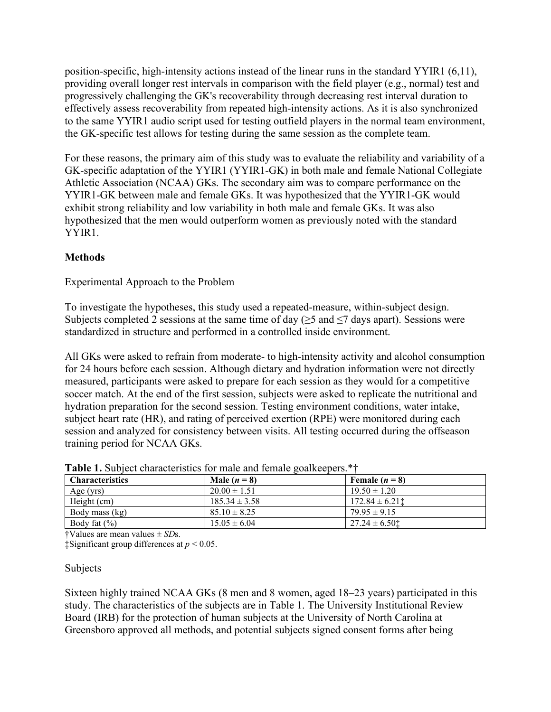position-specific, high-intensity actions instead of the linear runs in the standard YYIR1 (6,11), providing overall longer rest intervals in comparison with the field player (e.g., normal) test and progressively challenging the GK's recoverability through decreasing rest interval duration to effectively assess recoverability from repeated high-intensity actions. As it is also synchronized to the same YYIR1 audio script used for testing outfield players in the normal team environment, the GK-specific test allows for testing during the same session as the complete team.

For these reasons, the primary aim of this study was to evaluate the reliability and variability of a GK-specific adaptation of the YYIR1 (YYIR1-GK) in both male and female National Collegiate Athletic Association (NCAA) GKs. The secondary aim was to compare performance on the YYIR1-GK between male and female GKs. It was hypothesized that the YYIR1-GK would exhibit strong reliability and low variability in both male and female GKs. It was also hypothesized that the men would outperform women as previously noted with the standard YYIR1.

# **Methods**

# Experimental Approach to the Problem

To investigate the hypotheses, this study used a repeated-measure, within-subject design. Subjects completed 2 sessions at the same time of day ( $\geq$ 5 and  $\leq$ 7 days apart). Sessions were standardized in structure and performed in a controlled inside environment.

All GKs were asked to refrain from moderate- to high-intensity activity and alcohol consumption for 24 hours before each session. Although dietary and hydration information were not directly measured, participants were asked to prepare for each session as they would for a competitive soccer match. At the end of the first session, subjects were asked to replicate the nutritional and hydration preparation for the second session. Testing environment conditions, water intake, subject heart rate (HR), and rating of perceived exertion (RPE) were monitored during each session and analyzed for consistency between visits. All testing occurred during the offseason training period for NCAA GKs.

| THOIC II SWOJOO! CHAINGIGHTUUD ISI HIMIC AHII ISHIMIC QOMHICOPULSI<br><b>Characteristics</b> | Male $(n=8)$      | Female $(n=8)$     |
|----------------------------------------------------------------------------------------------|-------------------|--------------------|
| Age $(yrs)$                                                                                  | $20.00 \pm 1.51$  | $19.50 \pm 1.20$   |
| Height (cm)                                                                                  | $185.34 \pm 3.58$ | $172.84 \pm 6.211$ |
| Body mass (kg)                                                                               | $85.10 \pm 8.25$  | $79.95 \pm 9.15$   |
| Body fat $(\% )$                                                                             | $15.05 \pm 6.04$  | $27.24 \pm 6.501$  |

Table 1. Subject characteristics for male and female goalkeepers.\*†

†Values are mean values ± *SD*s.

‡Significant group differences at *p* < 0.05.

#### Subjects

Sixteen highly trained NCAA GKs (8 men and 8 women, aged 18–23 years) participated in this study. The characteristics of the subjects are in Table 1. The University Institutional Review Board (IRB) for the protection of human subjects at the University of North Carolina at Greensboro approved all methods, and potential subjects signed consent forms after being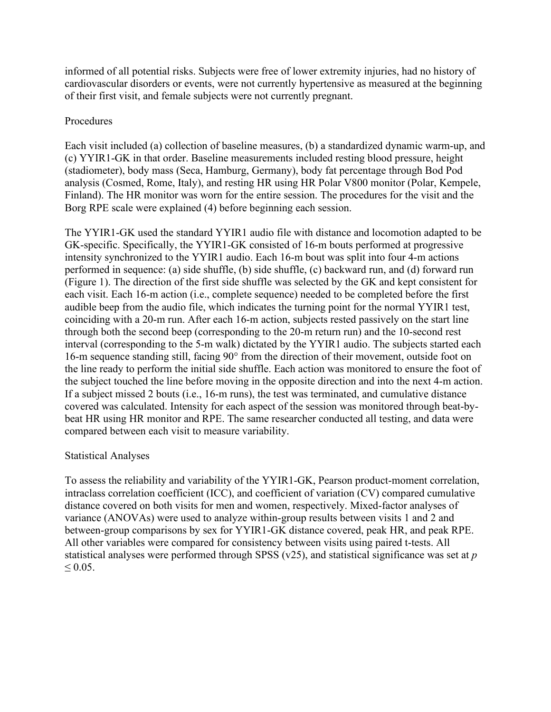informed of all potential risks. Subjects were free of lower extremity injuries, had no history of cardiovascular disorders or events, were not currently hypertensive as measured at the beginning of their first visit, and female subjects were not currently pregnant.

#### Procedures

Each visit included (a) collection of baseline measures, (b) a standardized dynamic warm-up, and (c) YYIR1-GK in that order. Baseline measurements included resting blood pressure, height (stadiometer), body mass (Seca, Hamburg, Germany), body fat percentage through Bod Pod analysis (Cosmed, Rome, Italy), and resting HR using HR Polar V800 monitor (Polar, Kempele, Finland). The HR monitor was worn for the entire session. The procedures for the visit and the Borg RPE scale were explained (4) before beginning each session.

The YYIR1-GK used the standard YYIR1 audio file with distance and locomotion adapted to be GK-specific. Specifically, the YYIR1-GK consisted of 16-m bouts performed at progressive intensity synchronized to the YYIR1 audio. Each 16-m bout was split into four 4-m actions performed in sequence: (a) side shuffle, (b) side shuffle, (c) backward run, and (d) forward run (Figure 1). The direction of the first side shuffle was selected by the GK and kept consistent for each visit. Each 16-m action (i.e., complete sequence) needed to be completed before the first audible beep from the audio file, which indicates the turning point for the normal YYIR1 test, coinciding with a 20-m run. After each 16-m action, subjects rested passively on the start line through both the second beep (corresponding to the 20-m return run) and the 10-second rest interval (corresponding to the 5-m walk) dictated by the YYIR1 audio. The subjects started each 16-m sequence standing still, facing 90° from the direction of their movement, outside foot on the line ready to perform the initial side shuffle. Each action was monitored to ensure the foot of the subject touched the line before moving in the opposite direction and into the next 4-m action. If a subject missed 2 bouts (i.e., 16-m runs), the test was terminated, and cumulative distance covered was calculated. Intensity for each aspect of the session was monitored through beat-bybeat HR using HR monitor and RPE. The same researcher conducted all testing, and data were compared between each visit to measure variability.

#### Statistical Analyses

To assess the reliability and variability of the YYIR1-GK, Pearson product-moment correlation, intraclass correlation coefficient (ICC), and coefficient of variation (CV) compared cumulative distance covered on both visits for men and women, respectively. Mixed-factor analyses of variance (ANOVAs) were used to analyze within-group results between visits 1 and 2 and between-group comparisons by sex for YYIR1-GK distance covered, peak HR, and peak RPE. All other variables were compared for consistency between visits using paired t-tests. All statistical analyses were performed through SPSS (v25), and statistical significance was set at *p*  $≤ 0.05.$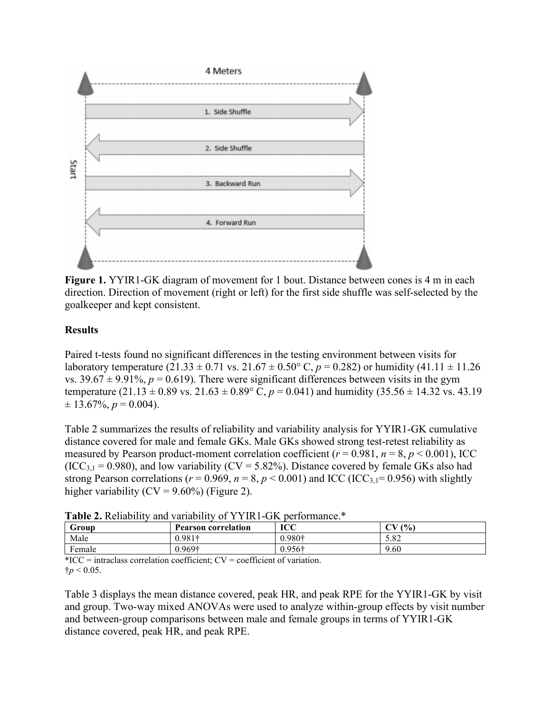

**Figure 1.** YYIR1-GK diagram of movement for 1 bout. Distance between cones is 4 m in each direction. Direction of movement (right or left) for the first side shuffle was self-selected by the goalkeeper and kept consistent.

#### **Results**

Paired t-tests found no significant differences in the testing environment between visits for laboratory temperature  $(21.33 \pm 0.71 \text{ vs. } 21.67 \pm 0.50^{\circ} \text{ C}, p = 0.282)$  or humidity  $(41.11 \pm 11.26 \text{ m})$ vs.  $39.67 \pm 9.91\%$ ,  $p = 0.619$ ). There were significant differences between visits in the gym temperature (21.13  $\pm$  0.89 vs. 21.63  $\pm$  0.89° C, *p* = 0.041) and humidity (35.56  $\pm$  14.32 vs. 43.19  $\pm$  13.67%,  $p = 0.004$ ).

Table 2 summarizes the results of reliability and variability analysis for YYIR1-GK cumulative distance covered for male and female GKs. Male GKs showed strong test-retest reliability as measured by Pearson product-moment correlation coefficient ( $r = 0.981$ ,  $n = 8$ ,  $p < 0.001$ ), ICC  $(ICC<sub>3.1</sub> = 0.980)$ , and low variability  $(CV = 5.82\%)$ . Distance covered by female GKs also had strong Pearson correlations ( $r = 0.969$ ,  $n = 8$ ,  $p < 0.001$ ) and ICC (ICC<sub>3,1</sub>= 0.956) with slightly higher variability ( $CV = 9.60\%$ ) (Figure 2).

| Group  | <b>Table 2.</b> Kehability and variability of TTIKT-OK Defiormance.<br><b>Pearson correlation</b> | ICC            | $(0)_{0}$<br>$\sim$ |
|--------|---------------------------------------------------------------------------------------------------|----------------|---------------------|
| Male   | $0.981\dagger$                                                                                    | 0.980†         | 5.82                |
| Female | 0.969†                                                                                            | $0.956\dagger$ | 9.60                |

**Table 2.** Reliability and variability of YYIR1-GK performance.\*

 ${}^*ICC$  = intraclass correlation coefficient;  $CV = coefficient$  of variation.  $\dagger p < 0.05$ .

Table 3 displays the mean distance covered, peak HR, and peak RPE for the YYIR1-GK by visit and group. Two-way mixed ANOVAs were used to analyze within-group effects by visit number and between-group comparisons between male and female groups in terms of YYIR1-GK distance covered, peak HR, and peak RPE.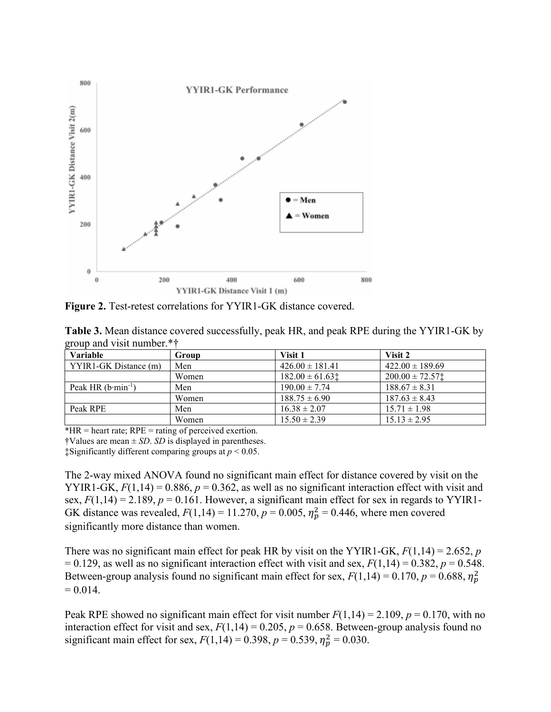

**Figure 2.** Test-retest correlations for YYIR1-GK distance covered.

| Table 3. Mean distance covered successfully, peak HR, and peak RPE during the YYIR1-GK by |  |  |
|-------------------------------------------------------------------------------------------|--|--|
| group and visit number. $*$ †                                                             |  |  |

| Variable              | Group | Visit 1             | Visit 2             |
|-----------------------|-------|---------------------|---------------------|
| YYIR1-GK Distance (m) | Men   | $426.00 \pm 181.41$ | $422.00 \pm 189.69$ |
|                       | Women | $182.00 \pm 61.63$  | $200.00 \pm 72.57$  |
| Peak HR $(b·min-1)$   | Men   | $190.00 \pm 7.74$   | $188.67 \pm 8.31$   |
|                       | Women | $188.75 \pm 6.90$   | $187.63 \pm 8.43$   |
| Peak RPE              | Men   | $16.38 \pm 2.07$    | $15.71 \pm 1.98$    |
|                       | Women | $15.50 \pm 2.39$    | $15.13 \pm 2.95$    |

 $*HR =$  heart rate; RPE = rating of perceived exertion.

†Values are mean ± *SD*. *SD* is displayed in parentheses.

‡Significantly different comparing groups at *p* < 0.05.

The 2-way mixed ANOVA found no significant main effect for distance covered by visit on the YYIR1-GK,  $F(1,14) = 0.886$ ,  $p = 0.362$ , as well as no significant interaction effect with visit and sex,  $F(1,14) = 2.189$ ,  $p = 0.161$ . However, a significant main effect for sex in regards to YYIR1-GK distance was revealed,  $F(1,14) = 11.270, p = 0.005, \eta_p^2 = 0.446$ , where men covered significantly more distance than women.

There was no significant main effect for peak HR by visit on the YYIR1-GK, *F*(1,14) = 2.652, *p*  $= 0.129$ , as well as no significant interaction effect with visit and sex,  $F(1,14) = 0.382$ ,  $p = 0.548$ . Between-group analysis found no significant main effect for sex,  $F(1,14) = 0.170$ ,  $p = 0.688$ ,  $\eta_p^2$  $= 0.014.$ 

Peak RPE showed no significant main effect for visit number  $F(1,14) = 2.109$ ,  $p = 0.170$ , with no interaction effect for visit and sex,  $F(1,14) = 0.205$ ,  $p = 0.658$ . Between-group analysis found no significant main effect for sex,  $F(1,14) = 0.398$ ,  $p = 0.539$ ,  $\eta_p^2 = 0.030$ .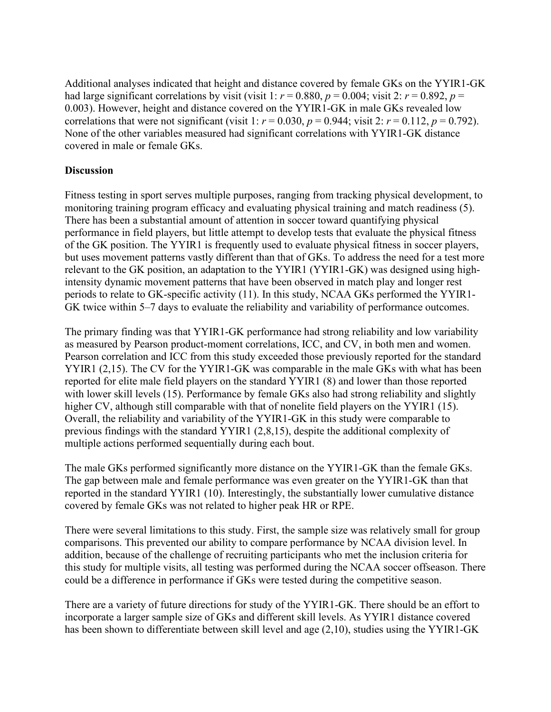Additional analyses indicated that height and distance covered by female GKs on the YYIR1-GK had large significant correlations by visit (visit 1:  $r = 0.880$ ,  $p = 0.004$ ; visit 2:  $r = 0.892$ ,  $p =$ 0.003). However, height and distance covered on the YYIR1-GK in male GKs revealed low correlations that were not significant (visit 1:  $r = 0.030$ ,  $p = 0.944$ ; visit 2:  $r = 0.112$ ,  $p = 0.792$ ). None of the other variables measured had significant correlations with YYIR1-GK distance covered in male or female GKs.

### **Discussion**

Fitness testing in sport serves multiple purposes, ranging from tracking physical development, to monitoring training program efficacy and evaluating physical training and match readiness (5). There has been a substantial amount of attention in soccer toward quantifying physical performance in field players, but little attempt to develop tests that evaluate the physical fitness of the GK position. The YYIR1 is frequently used to evaluate physical fitness in soccer players, but uses movement patterns vastly different than that of GKs. To address the need for a test more relevant to the GK position, an adaptation to the YYIR1 (YYIR1-GK) was designed using highintensity dynamic movement patterns that have been observed in match play and longer rest periods to relate to GK-specific activity (11). In this study, NCAA GKs performed the YYIR1- GK twice within 5–7 days to evaluate the reliability and variability of performance outcomes.

The primary finding was that YYIR1-GK performance had strong reliability and low variability as measured by Pearson product-moment correlations, ICC, and CV, in both men and women. Pearson correlation and ICC from this study exceeded those previously reported for the standard YYIR1 (2,15). The CV for the YYIR1-GK was comparable in the male GKs with what has been reported for elite male field players on the standard YYIR1 (8) and lower than those reported with lower skill levels (15). Performance by female GKs also had strong reliability and slightly higher CV, although still comparable with that of nonelite field players on the YYIR1 (15). Overall, the reliability and variability of the YYIR1-GK in this study were comparable to previous findings with the standard YYIR1 (2,8,15), despite the additional complexity of multiple actions performed sequentially during each bout.

The male GKs performed significantly more distance on the YYIR1-GK than the female GKs. The gap between male and female performance was even greater on the YYIR1-GK than that reported in the standard YYIR1 (10). Interestingly, the substantially lower cumulative distance covered by female GKs was not related to higher peak HR or RPE.

There were several limitations to this study. First, the sample size was relatively small for group comparisons. This prevented our ability to compare performance by NCAA division level. In addition, because of the challenge of recruiting participants who met the inclusion criteria for this study for multiple visits, all testing was performed during the NCAA soccer offseason. There could be a difference in performance if GKs were tested during the competitive season.

There are a variety of future directions for study of the YYIR1-GK. There should be an effort to incorporate a larger sample size of GKs and different skill levels. As YYIR1 distance covered has been shown to differentiate between skill level and age (2,10), studies using the YYIR1-GK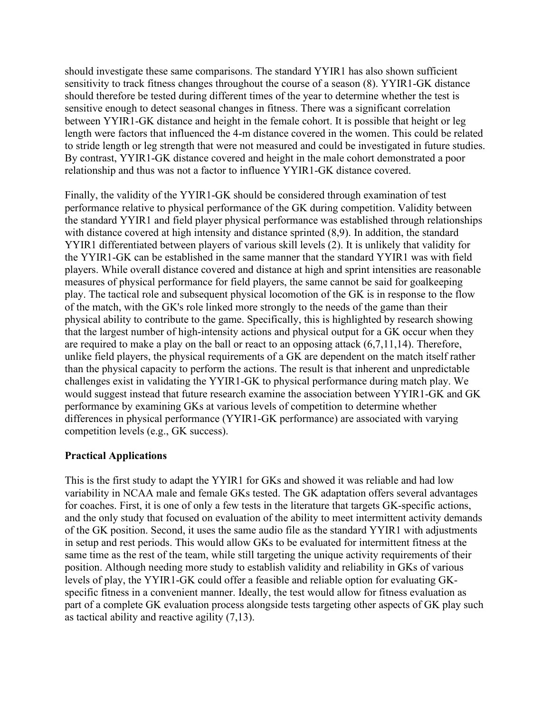should investigate these same comparisons. The standard YYIR1 has also shown sufficient sensitivity to track fitness changes throughout the course of a season (8). YYIR1-GK distance should therefore be tested during different times of the year to determine whether the test is sensitive enough to detect seasonal changes in fitness. There was a significant correlation between YYIR1-GK distance and height in the female cohort. It is possible that height or leg length were factors that influenced the 4-m distance covered in the women. This could be related to stride length or leg strength that were not measured and could be investigated in future studies. By contrast, YYIR1-GK distance covered and height in the male cohort demonstrated a poor relationship and thus was not a factor to influence YYIR1-GK distance covered.

Finally, the validity of the YYIR1-GK should be considered through examination of test performance relative to physical performance of the GK during competition. Validity between the standard YYIR1 and field player physical performance was established through relationships with distance covered at high intensity and distance sprinted (8,9). In addition, the standard YYIR1 differentiated between players of various skill levels (2). It is unlikely that validity for the YYIR1-GK can be established in the same manner that the standard YYIR1 was with field players. While overall distance covered and distance at high and sprint intensities are reasonable measures of physical performance for field players, the same cannot be said for goalkeeping play. The tactical role and subsequent physical locomotion of the GK is in response to the flow of the match, with the GK's role linked more strongly to the needs of the game than their physical ability to contribute to the game. Specifically, this is highlighted by research showing that the largest number of high-intensity actions and physical output for a GK occur when they are required to make a play on the ball or react to an opposing attack (6,7,11,14). Therefore, unlike field players, the physical requirements of a GK are dependent on the match itself rather than the physical capacity to perform the actions. The result is that inherent and unpredictable challenges exist in validating the YYIR1-GK to physical performance during match play. We would suggest instead that future research examine the association between YYIR1-GK and GK performance by examining GKs at various levels of competition to determine whether differences in physical performance (YYIR1-GK performance) are associated with varying competition levels (e.g., GK success).

# **Practical Applications**

This is the first study to adapt the YYIR1 for GKs and showed it was reliable and had low variability in NCAA male and female GKs tested. The GK adaptation offers several advantages for coaches. First, it is one of only a few tests in the literature that targets GK-specific actions, and the only study that focused on evaluation of the ability to meet intermittent activity demands of the GK position. Second, it uses the same audio file as the standard YYIR1 with adjustments in setup and rest periods. This would allow GKs to be evaluated for intermittent fitness at the same time as the rest of the team, while still targeting the unique activity requirements of their position. Although needing more study to establish validity and reliability in GKs of various levels of play, the YYIR1-GK could offer a feasible and reliable option for evaluating GKspecific fitness in a convenient manner. Ideally, the test would allow for fitness evaluation as part of a complete GK evaluation process alongside tests targeting other aspects of GK play such as tactical ability and reactive agility (7,13).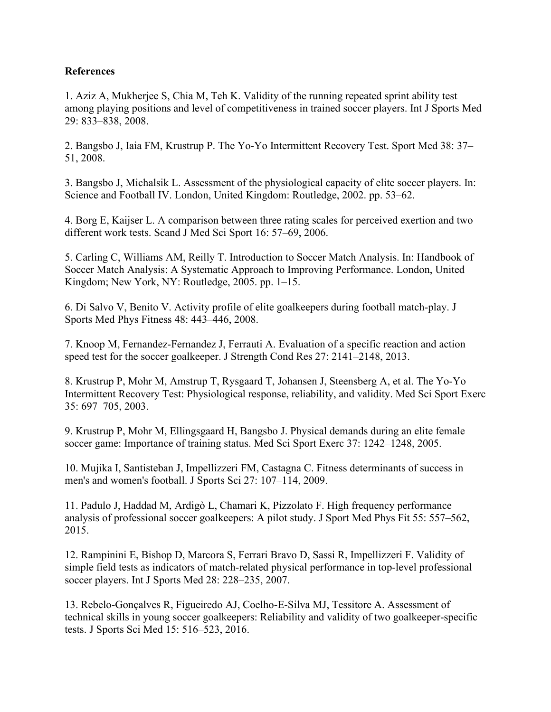### **References**

1. Aziz A, Mukherjee S, Chia M, Teh K. Validity of the running repeated sprint ability test among playing positions and level of competitiveness in trained soccer players. Int J Sports Med 29: 833–838, 2008.

2. Bangsbo J, Iaia FM, Krustrup P. The Yo-Yo Intermittent Recovery Test. Sport Med 38: 37– 51, 2008.

3. Bangsbo J, Michalsik L. Assessment of the physiological capacity of elite soccer players. In: Science and Football IV. London, United Kingdom: Routledge, 2002. pp. 53–62.

4. Borg E, Kaijser L. A comparison between three rating scales for perceived exertion and two different work tests. Scand J Med Sci Sport 16: 57–69, 2006.

5. Carling C, Williams AM, Reilly T. Introduction to Soccer Match Analysis. In: Handbook of Soccer Match Analysis: A Systematic Approach to Improving Performance. London, United Kingdom; New York, NY: Routledge, 2005. pp. 1–15.

6. Di Salvo V, Benito V. Activity profile of elite goalkeepers during football match-play. J Sports Med Phys Fitness 48: 443–446, 2008.

7. Knoop M, Fernandez-Fernandez J, Ferrauti A. Evaluation of a specific reaction and action speed test for the soccer goalkeeper. J Strength Cond Res 27: 2141–2148, 2013.

8. Krustrup P, Mohr M, Amstrup T, Rysgaard T, Johansen J, Steensberg A, et al. The Yo-Yo Intermittent Recovery Test: Physiological response, reliability, and validity. Med Sci Sport Exerc 35: 697–705, 2003.

9. Krustrup P, Mohr M, Ellingsgaard H, Bangsbo J. Physical demands during an elite female soccer game: Importance of training status. Med Sci Sport Exerc 37: 1242–1248, 2005.

10. Mujika I, Santisteban J, Impellizzeri FM, Castagna C. Fitness determinants of success in men's and women's football. J Sports Sci 27: 107–114, 2009.

11. Padulo J, Haddad M, Ardigò L, Chamari K, Pizzolato F. High frequency performance analysis of professional soccer goalkeepers: A pilot study. J Sport Med Phys Fit 55: 557–562, 2015.

12. Rampinini E, Bishop D, Marcora S, Ferrari Bravo D, Sassi R, Impellizzeri F. Validity of simple field tests as indicators of match-related physical performance in top-level professional soccer players. Int J Sports Med 28: 228–235, 2007.

13. Rebelo-Gonçalves R, Figueiredo AJ, Coelho-E-Silva MJ, Tessitore A. Assessment of technical skills in young soccer goalkeepers: Reliability and validity of two goalkeeper-specific tests. J Sports Sci Med 15: 516–523, 2016.